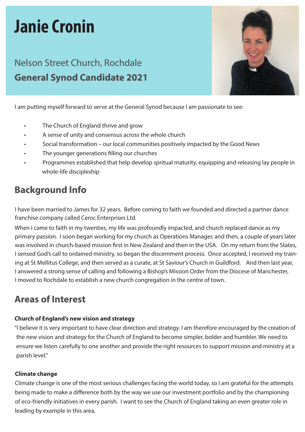# **Janie Cronin**

## Nelson Street Church, Rochdale **General Synod Candidate 2021**



I am putting myself forward to serve at the General Synod because I am passionate to see:

- The Church of England thrive and grow
- A sense of unity and consensus across the whole church
- Social transformation our local communities positively impacted by the Good News
- The younger generations filling our churches
- Programmes established that help develop spritual maturity, equipping and releasing lay people in whole-life discipleship

## **Background Info**

 I have been married to James for 32 years. Before coming to faith we founded and directed a partner dance franchise company called Ceroc Enterprises Ltd.

When I came to faith in my twenties, my life was profoundly impacted, and church replaced dance as my primary passion. I soon began working for my church as Operations Manager, and then, a couple of years later was involved in church-based mission first in New Zealand and then in the USA. On my return from the States, I sensed God's call to ordained ministry, so began the discernment process. Once accepted, I received my train ing at St Mellitus College, and then served as a curate, at St Saviour's Church in Guildford. And then last year, I answered a strong sense of calling and following a Bishop's Mission Order from the Diocese of Manchester, I moved to Rochdale to establish a new church congregation in the centre of town.

## **Areas of Interest**

#### **Church of England's new vision and strategy**

 "I believe it is very important to have clear direction and strategy. I am therefore encouraged by the creation of the new vision and strategy for the Church of England to become simpler, bolder and humbler. We need to ensure we listen carefully to one another and provide the right resources to support mission and ministry at a parish level."

#### **Climate change**

 Climate change is one of the most serious challenges facing the world today, so I am grateful for the attempts being made to make a difference both by the way we use our investment portfolio and by the championing of eco-friendly initiatives in every parish. I want to see the Church of England taking an even greater role in leading by example in this area.